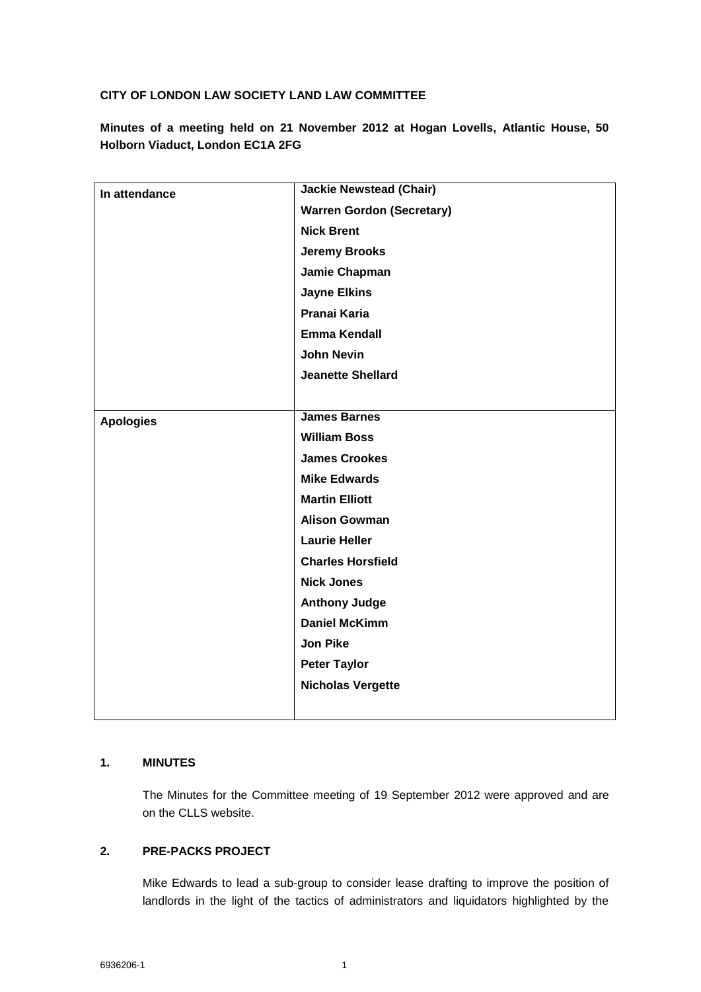## **CITY OF LONDON LAW SOCIETY LAND LAW COMMITTEE**

**Minutes of a meeting held on 21 November 2012 at Hogan Lovells, Atlantic House, 50 Holborn Viaduct, London EC1A 2FG**

| In attendance    | <b>Jackie Newstead (Chair)</b>   |
|------------------|----------------------------------|
|                  | <b>Warren Gordon (Secretary)</b> |
|                  | <b>Nick Brent</b>                |
|                  | <b>Jeremy Brooks</b>             |
|                  | Jamie Chapman                    |
|                  | <b>Jayne Elkins</b>              |
|                  | Pranai Karia                     |
|                  | <b>Emma Kendall</b>              |
|                  | <b>John Nevin</b>                |
|                  | <b>Jeanette Shellard</b>         |
|                  |                                  |
| <b>Apologies</b> | <b>James Barnes</b>              |
|                  | <b>William Boss</b>              |
|                  | <b>James Crookes</b>             |
|                  | <b>Mike Edwards</b>              |
|                  | <b>Martin Elliott</b>            |
|                  | <b>Alison Gowman</b>             |
|                  | <b>Laurie Heller</b>             |
|                  | <b>Charles Horsfield</b>         |
|                  | <b>Nick Jones</b>                |
|                  | <b>Anthony Judge</b>             |
|                  | <b>Daniel McKimm</b>             |
|                  | <b>Jon Pike</b>                  |
|                  | <b>Peter Taylor</b>              |
|                  | <b>Nicholas Vergette</b>         |
|                  |                                  |

## **1. MINUTES**

The Minutes for the Committee meeting of 19 September 2012 were approved and are on the CLLS website.

# **2. PRE-PACKS PROJECT**

Mike Edwards to lead a sub-group to consider lease drafting to improve the position of landlords in the light of the tactics of administrators and liquidators highlighted by the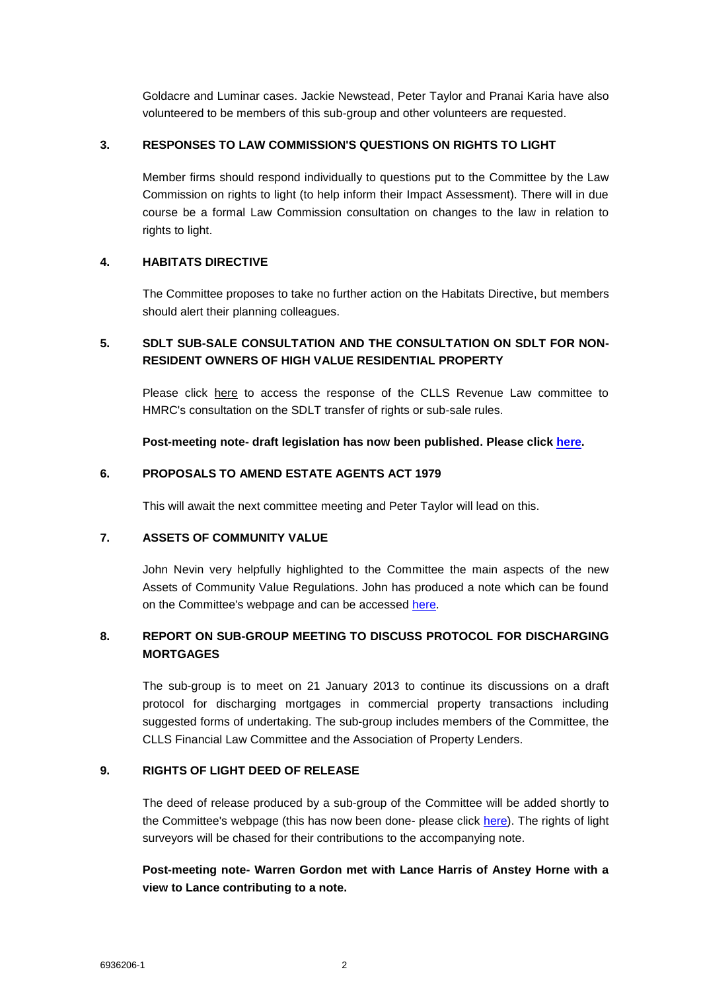Goldacre and Luminar cases. Jackie Newstead, Peter Taylor and Pranai Karia have also volunteered to be members of this sub-group and other volunteers are requested.

### **3. RESPONSES TO LAW COMMISSION'S QUESTIONS ON RIGHTS TO LIGHT**

Member firms should respond individually to questions put to the Committee by the Law Commission on rights to light (to help inform their Impact Assessment). There will in due course be a formal Law Commission consultation on changes to the law in relation to rights to light.

# **4. HABITATS DIRECTIVE**

The Committee proposes to take no further action on the Habitats Directive, but members should alert their planning colleagues.

# **5. SDLT SUB-SALE CONSULTATION AND THE CONSULTATION ON SDLT FOR NON-RESIDENT OWNERS OF HIGH VALUE RESIDENTIAL PROPERTY**

Please click [here](http://www.citysolicitors.org.uk/FileServer.aspx?oID=1276&lID=0) to access the response of the CLLS Revenue Law committee to HMRC's consultation on the SDLT transfer of rights or sub-sale rules.

## **Post-meeting note- draft legislation has now been published. Please click [here.](http://www.hmrc.gov.uk/budget-updates/march2012/finance-bill-2013-draft.htm)**

# **6. PROPOSALS TO AMEND ESTATE AGENTS ACT 1979**

This will await the next committee meeting and Peter Taylor will lead on this.

### **7. ASSETS OF COMMUNITY VALUE**

John Nevin very helpfully highlighted to the Committee the main aspects of the new Assets of Community Value Regulations. John has produced a note which can be found on the Committee's webpage and can be accessed [here.](http://www.citysolicitors.org.uk/FileServer.aspx?oID=1293&lID=0)

# **8. REPORT ON SUB-GROUP MEETING TO DISCUSS PROTOCOL FOR DISCHARGING MORTGAGES**

The sub-group is to meet on 21 January 2013 to continue its discussions on a draft protocol for discharging mortgages in commercial property transactions including suggested forms of undertaking. The sub-group includes members of the Committee, the CLLS Financial Law Committee and the Association of Property Lenders.

# **9. RIGHTS OF LIGHT DEED OF RELEASE**

The deed of release produced by a sub-group of the Committee will be added shortly to the Committee's webpage (this has now been done- please click [here\)](http://www.citysolicitors.org.uk/FileServer.aspx?oID=1313&lID=0). The rights of light surveyors will be chased for their contributions to the accompanying note.

# **Post-meeting note- Warren Gordon met with Lance Harris of Anstey Horne with a view to Lance contributing to a note.**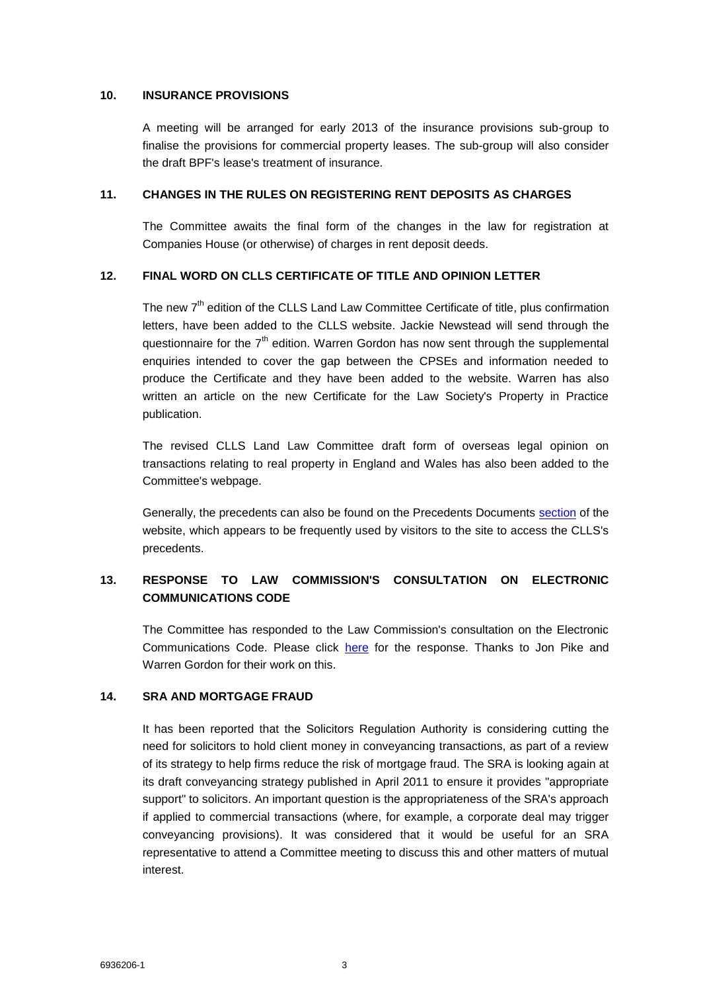#### **10. INSURANCE PROVISIONS**

A meeting will be arranged for early 2013 of the insurance provisions sub-group to finalise the provisions for commercial property leases. The sub-group will also consider the draft BPF's lease's treatment of insurance.

#### **11. CHANGES IN THE RULES ON REGISTERING RENT DEPOSITS AS CHARGES**

The Committee awaits the final form of the changes in the law for registration at Companies House (or otherwise) of charges in rent deposit deeds.

#### **12. FINAL WORD ON CLLS CERTIFICATE OF TITLE AND OPINION LETTER**

The new  $7<sup>th</sup>$  edition of the CLLS Land Law Committee Certificate of title, plus confirmation letters, have been added to the CLLS website. Jackie Newstead will send through the questionnaire for the 7<sup>th</sup> edition. Warren Gordon has now sent through the supplemental enquiries intended to cover the gap between the CPSEs and information needed to produce the Certificate and they have been added to the website. Warren has also written an article on the new Certificate for the Law Society's Property in Practice publication.

The revised CLLS Land Law Committee draft form of overseas legal opinion on transactions relating to real property in England and Wales has also been added to the Committee's webpage.

Generally, the precedents can also be found on the Precedents Documents [section](http://www.citysolicitors.org.uk/Default.aspx?sID=756&lID=0) of the website, which appears to be frequently used by visitors to the site to access the CLLS's precedents.

# **13. RESPONSE TO LAW COMMISSION'S CONSULTATION ON ELECTRONIC COMMUNICATIONS CODE**

The Committee has responded to the Law Commission's consultation on the Electronic Communications Code. Please click [here](http://www.citysolicitors.org.uk/FileServer.aspx?oID=1278&lID=0) for the response. Thanks to Jon Pike and Warren Gordon for their work on this.

#### **14. SRA AND MORTGAGE FRAUD**

It has been reported that the Solicitors Regulation Authority is considering cutting the need for solicitors to hold client money in conveyancing transactions, as part of a review of its strategy to help firms reduce the risk of mortgage fraud. The SRA is looking again at its draft conveyancing strategy published in April 2011 to ensure it provides "appropriate support" to solicitors. An important question is the appropriateness of the SRA's approach if applied to commercial transactions (where, for example, a corporate deal may trigger conveyancing provisions). It was considered that it would be useful for an SRA representative to attend a Committee meeting to discuss this and other matters of mutual interest.